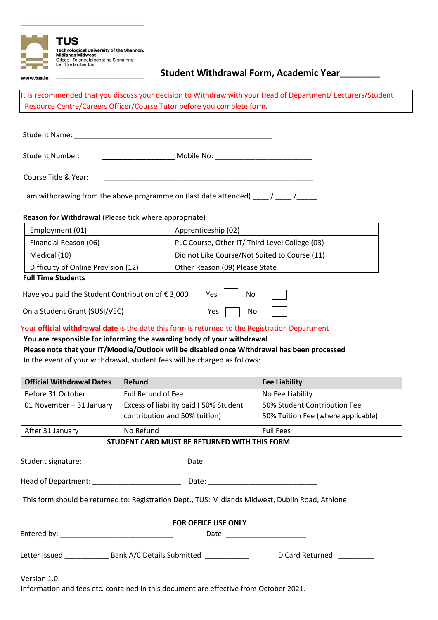

# **Student Withdrawal Form, Academic Year\_\_\_\_\_\_\_\_\_\_**

It is recommended that you discuss your decision to Withdraw with your Head of Department/ Lecturers/Student Resource Centre/Careers Officer/Course Tutor before you complete form.

| <b>Student Name:</b>   |            |  |
|------------------------|------------|--|
|                        |            |  |
| <b>Student Number:</b> | Mobile No: |  |

Course Title & Year: **\_\_\_\_\_\_\_\_\_\_\_\_\_\_\_\_\_\_\_\_\_\_\_\_\_\_\_\_\_\_\_\_\_\_\_\_\_\_\_\_\_\_\_\_\_\_\_\_\_\_\_\_**

www.tus.ie

I am withdrawing from the above programme on (last date attended) \_\_\_\_ / \_\_\_\_ /\_\_\_\_

### **Reason for Withdrawal** (Please tick where appropriate)

| Employment (01)                     | Apprenticeship (02)                            |  |  |  |
|-------------------------------------|------------------------------------------------|--|--|--|
| Financial Reason (06)               | PLC Course, Other IT/ Third Level College (03) |  |  |  |
| Medical (10)                        | Did not Like Course/Not Suited to Course (11)  |  |  |  |
| Difficulty of Online Provision (12) | Other Reason (09) Please State                 |  |  |  |
| <b>Eull Time Students</b>           |                                                |  |  |  |

#### **Full Time Students**

| Have you paid the Student Contribution of $\epsilon$ 3,000 Yes $\boxed{\phantom{0}}$ No |                      | $\overline{a}$ |
|-----------------------------------------------------------------------------------------|----------------------|----------------|
| On a Student Grant (SUSI/VEC)                                                           | Yes $\Box$ No $\Box$ |                |

### Your **official withdrawal date** is the date this form is returned to the Registration Department

## **You are responsible for informing the awarding body of your withdrawal**

| Please note that your IT/Moodle/Outlook will be disabled once Withdrawal has been processed |
|---------------------------------------------------------------------------------------------|
| In the event of your withdrawal, student fees will be charged as follows:                   |

| <b>Official Withdrawal Dates</b> | Refund                                                                 | <b>Fee Liability</b>                                               |
|----------------------------------|------------------------------------------------------------------------|--------------------------------------------------------------------|
| Before 31 October                | Full Refund of Fee                                                     | No Fee Liability                                                   |
| 01 November - 31 January         | Excess of liability paid (50% Student<br>contribution and 50% tuition) | 50% Student Contribution Fee<br>50% Tuition Fee (where applicable) |
| After 31 January                 | No Refund                                                              | <b>Full Fees</b>                                                   |

### **STUDENT CARD MUST BE RETURNED WITH THIS FORM**

Student signature: \_\_\_\_\_\_\_\_\_\_\_\_\_\_\_\_\_\_\_\_\_\_\_\_ Date: \_\_\_\_\_\_\_\_\_\_\_\_\_\_\_\_\_\_\_\_\_\_\_\_\_\_\_

Head of Department: \_\_\_\_\_\_\_\_\_\_\_\_\_\_\_\_\_\_\_\_\_\_ Date: \_\_\_\_\_\_\_\_\_\_\_\_\_\_\_\_\_\_\_\_\_\_\_\_\_\_\_

This form should be returned to: Registration Dept., TUS: Midlands Midwest, Dublin Road, Athlone

| <b>FOR OFFICE USE ONLY</b> |                                              |                         |  |  |
|----------------------------|----------------------------------------------|-------------------------|--|--|
| Entered by:                | Date:<br><u> 1980 - Jan Barbarat, manala</u> |                         |  |  |
| Letter Issued              | Bank A/C Details Submitted                   | <b>ID Card Returned</b> |  |  |
|                            |                                              |                         |  |  |

Version 1.0. Information and fees etc. contained in this document are effective from October 2021.